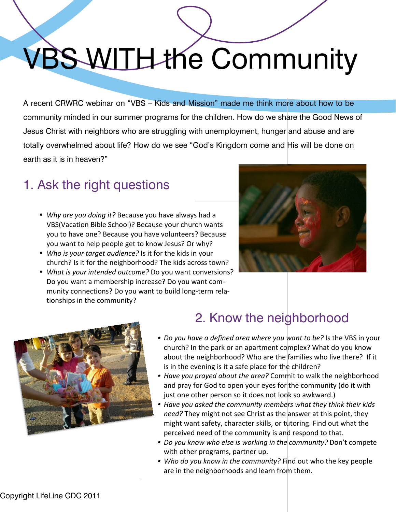## VBS WITH the Community

A recent CRWRC webinar on "VBS – Kids and Mission" made me think more about how to be community minded in our summer programs for the children. How do we share the Good News of Jesus Christ with neighbors who are struggling with unemployment, hunger and abuse and are totally overwhelmed about life? How do we see "God's Kingdom come and His will be done on earth as it is in heaven?"

## 1. Ask the right questions

- ü *Why are you doing it?* Because you have always had a VBS(Vacation Bible School)? Because your church wants you to have one? Because you have volunteers? Because you want to help people get to know Jesus? Or why?
- ü *Who is your target audience?* Is it for the kids in your church? Is it for the neighborhood? The kids across town?
- ü *What is your intended outcome?* Do you want conversions? Do you want a membership increase? Do you want community connections? Do you want to build long-term relationships in the community?

.





## 2. Know the neighborhood

- *Do you have a defined area where you want to be?* Is the VBS in your church? In the park or an apartment complex? What do you know about the neighborhood? Who are the families who live there? If it is in the evening is it a safe place for the children?
- *Have you prayed about the area?* Commit to walk the neighborhood and pray for God to open your eyes for the community (do it with just one other person so it does not look so awkward.)
- *Have you asked the community members what they think their kids need?* They might not see Christ as the answer at this point, they might want safety, character skills, or tutoring. Find out what the perceived need of the community is and respond to that.
- *Do you know who else is working in the community?* Don't compete with other programs, partner up.
- *Who do you know in the community?* Find out who the key people are in the neighborhoods and learn from them.